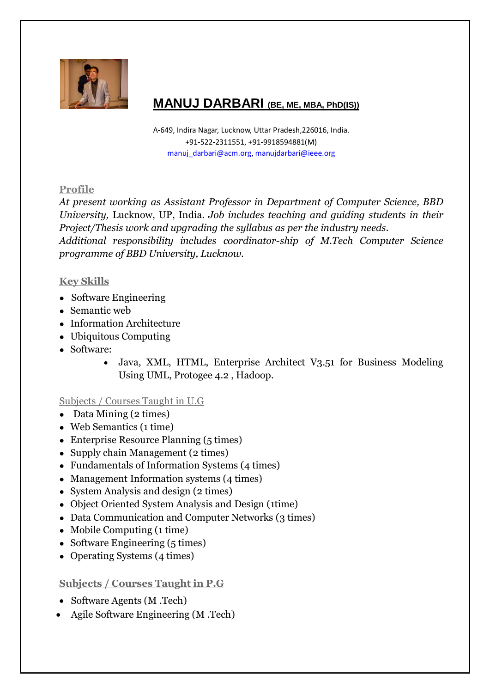

# **MANUJ DARBARI (BE, ME, MBA, PhD(IS))**

A-649, Indira Nagar, Lucknow, Uttar Pradesh,226016, India. +91-522-2311551, +91-9918594881(M) [manuj\\_darbari@acm.org,](mailto:manuj_darbari@acm.org) [manujdarbari@ieee.org](mailto:manujdarbari@ieee.org)

# **Profile**

*At present working as Assistant Professor in Department of Computer Science, BBD University,* Lucknow, UP, India*. Job includes teaching and guiding students in their Project/Thesis work and upgrading the syllabus as per the industry needs. Additional responsibility includes coordinator-ship of M.Tech Computer Science programme of BBD University, Lucknow.*

# **Key Skills**

- Software Engineering
- Semantic web
- Information Architecture
- Ubiquitous Computing
- Software:
	- Java, XML, HTML, Enterprise Architect V3.51 for Business Modeling Using UML, Protogee 4.2 , Hadoop.

# Subjects / Courses Taught in U.G

- $\bullet$  Data Mining (2 times)
- Web Semantics (1 time)
- Enterprise Resource Planning (5 times)
- Supply chain Management (2 times)
- Fundamentals of Information Systems (4 times)
- Management Information systems (4 times)
- System Analysis and design (2 times)
- Object Oriented System Analysis and Design (1time)
- Data Communication and Computer Networks (3 times)
- Mobile Computing  $(1 \text{ time})$
- Software Engineering (5 times)
- Operating Systems (4 times)

# **Subjects / Courses Taught in P.G**

- Software Agents (M.Tech)
- Agile Software Engineering (M .Tech)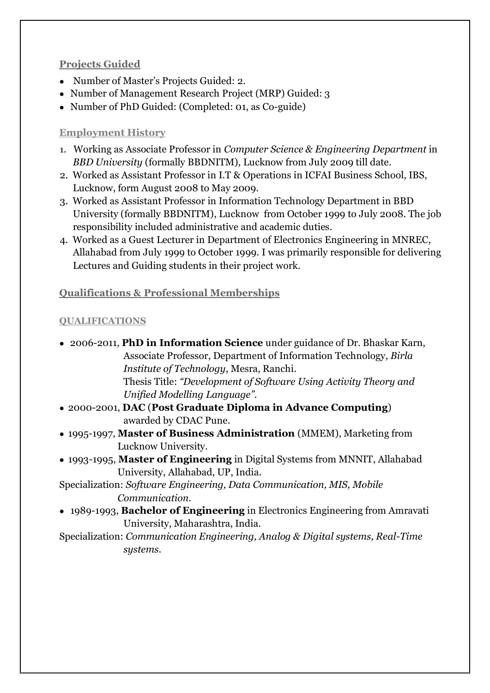# **Projects Guided**

- Number of Master's Projects Guided: 2.
- Number of Management Research Project (MRP) Guided: 3
- Number of PhD Guided: (Completed: 01, as Co-guide)

# **Employment History**

- 1. Working as Associate Professor in *Computer Science & Engineering Department* in *BBD University* (formally BBDNITM), Lucknow from July 2009 till date.
- 2. Worked as Assistant Professor in I.T & Operations in ICFAI Business School, IBS, Lucknow, form August 2008 to May 2009.
- 3. Worked as Assistant Professor in Information Technology Department in BBD University (formally BBDNITM), Lucknow from October 1999 to July 2008. The job responsibility included administrative and academic duties.
- 4. Worked as a Guest Lecturer in Department of Electronics Engineering in MNREC, Allahabad from July 1999 to October 1999. I was primarily responsible for delivering Lectures and Guiding students in their project work.

# **Qualifications & Professional Memberships**

# **QUALIFICATIONS**

● 2006-2011, **PhD in Information Science** under guidance of Dr. Bhaskar Karn, Associate Professor, Department of Information Technology*, Birla Institute of Technology*, Mesra, Ranchi. Thesis Title: *"Development of Software Using Activity Theory and Unified Modelling Language".* ● 2000-2001, **DAC** (**Post Graduate Diploma in Advance Computing**) awarded by [CDAC Pune.](http://cdac.in/) ● 1995-1997, **Master of Business Administration** (MMEM), Marketing from Lucknow University. ● 1993-1995, **Master of Engineering** in Digital Systems from MNNIT, Allahabad University, Allahabad, UP, India. Specialization: *Software Engineering, Data Communication, MIS, Mobile Communication.* ● 1989-1993, **Bachelor of Engineering** in Electronics Engineering from Amravati University, Maharashtra, India. Specialization: *Communication Engineering, Analog & Digital systems, Real-Time systems.*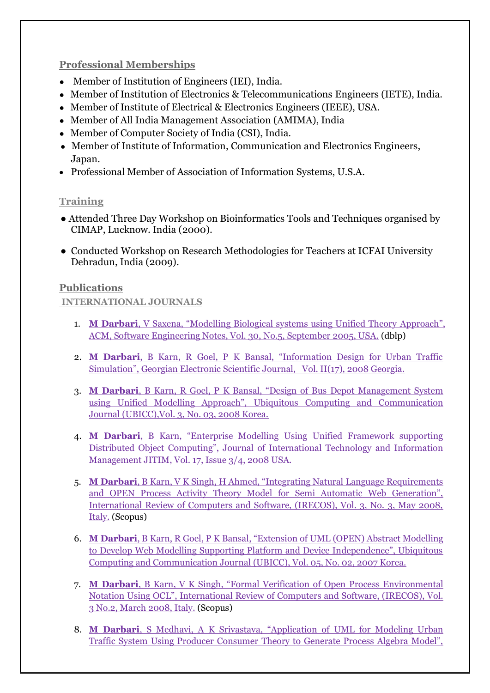# **Professional Memberships**

- Member of Institution of Engineers (IEI), India.
- Member of Institution of Electronics & Telecommunications Engineers (IETE), India.
- Member of Institute of Electrical & Electronics Engineers (IEEE), USA.
- Member of All India Management Association (AMIMA), India
- Member of Computer Society of India (CSI), India.
- Member of Institute of Information, Communication and Electronics Engineers, Japan.
- Professional Member of Association of Information Systems, U.S.A.

# **Training**

- Attended Three Day Workshop on Bioinformatics Tools and Techniques organised by CIMAP, Lucknow. India (2000).
- Conducted Workshop on Research Methodologies for Teachers at ICFAI University Dehradun, India (2009).

# **Publications**

# **INTERNATIONAL JOURNALS**

- 1. **M Darbari**[, V Saxena, "Modelling Biological systems using Unified Theory](http://dl.acm.org/citation.cfm?id=42414) Approach", [ACM, Software Engineering Notes, Vol. 30, No.5, September 2005, USA.](http://dl.acm.org/citation.cfm?id=42414) (dblp)
- 2. **M Darbari**[, B Karn, R Goel, P K Bansal, "Information Design for Urban Traffic](http://gesj.internet-academy.org.ge/download.php?id=1357.pdf)  Simulation", Geo[rgian Electronic Scientific Journal, Vol. II\(17\), 2008 Georgia.](http://gesj.internet-academy.org.ge/download.php?id=1357.pdf)
- 3. **M Darbari**[, B Karn, R Goel, P K Bansal, "Design of Bus Depot Management System](http://www.ubicc.org/files/pdf/UBICC_Paper_Id_228_228.pdf)  [using Unified Modelling Approach", Ubiqu](http://www.ubicc.org/files/pdf/UBICC_Paper_Id_228_228.pdf)itous Computing and Communication [Journal \(UBICC\),Vol. 3, No. 03, 2008 Korea.](http://www.ubicc.org/files/pdf/UBICC_Paper_Id_228_228.pdf)
- 4. **M Darbari**, B Karn, "Enterprise Modelling Using Unified Framework supporting Distributed Object Computing", Journal of International Technology and Information Management JITIM, Vol. 17, Issue 3/4, 2008 USA.
- 5. **M Darbari**, B Karn, V [K Singh, H Ahmed, "Integrating Natural Language Requirements](http://www.praiseworthyprize.com/IRECOS-latest/IRECOS_vol_3_n_3.html#Integrating Natural Language Requirements and OPEN Process Activity Theory Model for Platform Independent Web Modeling)  [and OPEN Process Activity Theory Model for Semi Automatic Web Generation",](http://www.praiseworthyprize.com/IRECOS-latest/IRECOS_vol_3_n_3.html#Integrating Natural Language Requirements and OPEN Process Activity Theory Model for Platform Independent Web Modeling)  [International Review of Computers and Software, \(IRECOS\), Vol. 3, No. 3, May 2008,](http://www.praiseworthyprize.com/IRECOS-latest/IRECOS_vol_3_n_3.html#Integrating Natural Language Requirements and OPEN Process Activity Theory Model for Platform Independent Web Modeling)  [Italy.](http://www.praiseworthyprize.com/IRECOS-latest/IRECOS_vol_3_n_3.html#Integrating Natural Language Requirements and OPEN Process Activity Theory Model for Platform Independent Web Modeling) (Scopus)
- 6. **M Darbari**[, B Karn, R Goel, P K Bansal, "Extension of UML \(OPEN\) Abstract Modelling](http://www.ubicc.org/files/pdf/Camera_Ready_Paper_id_126_126.pdf)  [to Develop Web Modelling Supporting Platform and Device Independence", Ubiquitous](http://www.ubicc.org/files/pdf/Camera_Ready_Paper_id_126_126.pdf)  [Computing and Communication Journal \(UBICC\), Vol. 05, No. 02, 2007 Korea.](http://www.ubicc.org/files/pdf/Camera_Ready_Paper_id_126_126.pdf)
- 7. **M Darbari**[, B Karn, V K Singh, "Formal Verification of Open Proce](http://www.praiseworthyprize.com/IRECOS-latest/IRECOS_vol_3_n_2.html#Validation of OPEN Process Activity Model Using OCL Framework)ss Environmental [Notation Using OCL", International Review of Computers and Software, \(IRECOS\), Vol.](http://www.praiseworthyprize.com/IRECOS-latest/IRECOS_vol_3_n_2.html#Validation of OPEN Process Activity Model Using OCL Framework)  [3 No.2, March 2008, Italy.](http://www.praiseworthyprize.com/IRECOS-latest/IRECOS_vol_3_n_2.html#Validation of OPEN Process Activity Model Using OCL Framework) (Scopus)
- 8. **M Darbari**[, S Medhavi, A K Srivastava, "Application of UML for Modeling Urban](http://www.thefreelibrary.com/Application+of+UML+for+modeling+urban+traffic+system+using+producer...-a0178945970)  [Traffic System Using Producer Consumer Theory to Generate Process Algebra Model",](http://www.thefreelibrary.com/Application+of+UML+for+modeling+urban+traffic+system+using+producer...-a0178945970)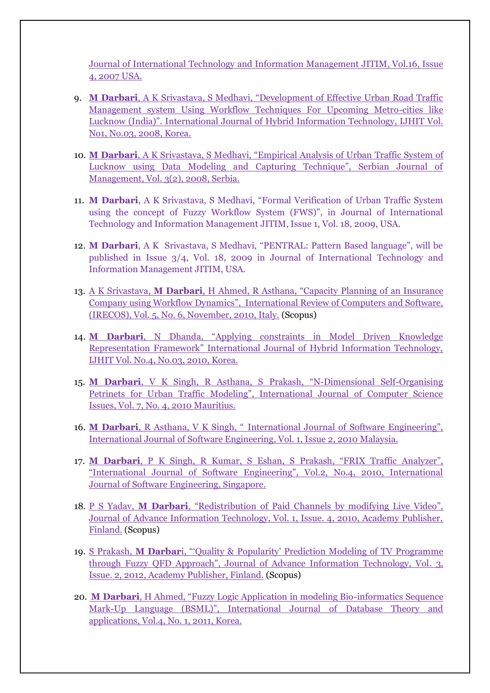Journal of International Technology and Information Management JITIM, Vol.16, Issue 4, 2007 USA.

- 9. **M Darbari**[, A K Srivastava, S Medhavi, "Development of Effective Urban Road Traffic](http://www.sersc.org/journals/IJHIT/vol1_no3_2008/10.pdf)  [Management system Using Workflow Techniques For Upcoming Metro-cities like](http://www.sersc.org/journals/IJHIT/vol1_no3_2008/10.pdf)  Lucknow (India)". I[nternational Journal of Hybrid Information Technology, IJHIT Vol.](http://www.sersc.org/journals/IJHIT/vol1_no3_2008/10.pdf)  [No1, No.03, 2008, Korea.](http://www.sersc.org/journals/IJHIT/vol1_no3_2008/10.pdf)
- 10. **M Darbari**[, A K Srivastava, S Medhavi, "Empirical Analysis of Urban](http://www.sjm06.com/SJM%20ISSN1452-4864/3_2_2008_November_127-249/3_2_145-156.pdf) Traffic System of [Lucknow using Data Modeling and Capturing Technique", Serbian Journal of](http://www.sjm06.com/SJM%20ISSN1452-4864/3_2_2008_November_127-249/3_2_145-156.pdf)  [Management, Vol. 3\(2\), 2008, Serbia.](http://www.sjm06.com/SJM%20ISSN1452-4864/3_2_2008_November_127-249/3_2_145-156.pdf)
- 11. **M Darbari**, A K Srivastava, S Medhavi, "Formal Verification of Urban Traffic System using the concept of Fuzzy Workflow System (FWS)", in Journal of International Technology and Information Management JITIM, Issue 1, Vol. 18, 2009, USA.
- 12. **M Darbari**, A K Srivastava, S Medhavi, "PENTRAL: Pattern Based language", will be published in Issue 3/4, Vol. 18, 2009 in Journal of International Technology and Information Management JITIM, USA.
- 13. A K Srivastava, **M Darbari**[, H Ahmed, R Asthana, "Capacity Planning o](http://www.praiseworthyprize.com/IRECOS-latest/IRECOS_vol_5_n_6.html#Capacity_Requirement_Planning_Using_Petri_Dynamics)f an Insurance [Company using Workflow Dynamics", International Review of Computers and Software,](http://www.praiseworthyprize.com/IRECOS-latest/IRECOS_vol_5_n_6.html#Capacity_Requirement_Planning_Using_Petri_Dynamics)  [\(IRECOS\), Vol. 5, No. 6, November, 2010, Italy.](http://www.praiseworthyprize.com/IRECOS-latest/IRECOS_vol_5_n_6.html#Capacity_Requirement_Planning_Using_Petri_Dynamics) (Scopus)
- 14. **M Darbari**, N Dhanda, "Applying [constraints in Model Driven Knowledge](http://www.sersc.org/journals/IJHIT/vol3_no3_2010/2.pdf)  [Representation Framework" International Journal of Hybrid Information Technology,](http://www.sersc.org/journals/IJHIT/vol3_no3_2010/2.pdf)  [IJHIT Vol. No.4, No.03, 2010, Korea.](http://www.sersc.org/journals/IJHIT/vol3_no3_2010/2.pdf)
- 15. **M Darbari**, V K Singh, R Asthana, S Prakash, "N[-Dimensional Self-Organising](http://www.ijcsi.org/papers/7-4-2-37-40.pdf)  [Petrinets for Urban Traffic Modeling", International Journal of Computer Science](http://www.ijcsi.org/papers/7-4-2-37-40.pdf)  [Issues, Vol. 7, No. 4, 2010 Mauritius.](http://www.ijcsi.org/papers/7-4-2-37-40.pdf)
- 16. **M Darbari**, R Asthana, V K Singh, " [International Journal of Software Engineering",](http://www.cscjournals.org/csc/manuscriptinfo.php?ManuscriptCode=71.72.81.67.43.47.50.100&JCode=IJSE&EJCode=70.71.80.66.101&Volume=1&Issue=2)  [International Journal of Software Engineering, Vol. 1, Issue 2, 2010 Malaysia.](http://www.cscjournals.org/csc/manuscriptinfo.php?ManuscriptCode=71.72.81.67.43.47.50.100&JCode=IJSE&EJCode=70.71.80.66.101&Volume=1&Issue=2)
- 17. **M Darbari**[, P K Singh, R Kumar, S Eshan, S Prakash, "FRIX Traffic Analyzer",](http://www.enggjournals.com/ijcse/doc/IJCSE10-02-04-40.pdf)  ["International Journal of Software Engineering", Vol.2, No.4, 2010, International](http://www.enggjournals.com/ijcse/doc/IJCSE10-02-04-40.pdf)  [Journal of Software Engineering, Singapore.](http://www.enggjournals.com/ijcse/doc/IJCSE10-02-04-40.pdf)
- 18. P S Yadav, **M Darbari**[, "Redistribution of Paid Channels by modifying Live Video",](http://ojs.academypublisher.com/index.php/jait/article/view/0104219224/2308)  [Journal of Advance Information Technology, Vol. 1, Issue. 4, 2010, Academy Publisher,](http://ojs.academypublisher.com/index.php/jait/article/view/0104219224/2308)  [Finland.](http://ojs.academypublisher.com/index.php/jait/article/view/0104219224/2308) (Scopus)
- 19. S Prakash, **M Darbar**[i, "'Quality & Popularity' Prediction Modeling of TV Programme](http://ojs.academypublisher.com/index.php/jait/article/download/jait03027790/4776)  [through Fuzzy QFD Approach", Journal of Advance Information Technology, Vol](http://ojs.academypublisher.com/index.php/jait/article/download/jait03027790/4776). 3, [Issue. 2, 2012, Academy Publisher, Finland.](http://ojs.academypublisher.com/index.php/jait/article/download/jait03027790/4776) (Scopus)
- 20. **M Darbari**[, H Ahmed, "Fuzzy Logic Application in modeling Bio](http://www.sersc.org/journals/IJDTA/vol4_no1/1.pdf)-informatics Sequence Mark-[Up Language \(BSML\)", International Journal of](http://www.sersc.org/journals/IJDTA/vol4_no1/1.pdf) Database Theory and [applications, Vol.4, No. 1, 2011, Korea.](http://www.sersc.org/journals/IJDTA/vol4_no1/1.pdf)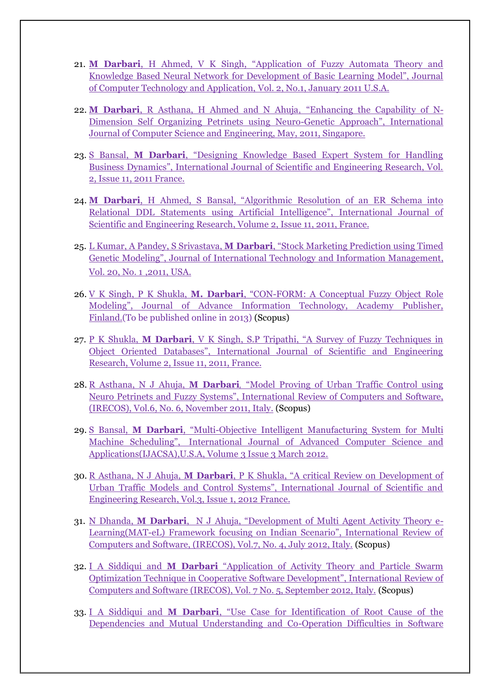- 21. **M Darbari**[, H Ahmed, V K Singh, "Application of Fuzzy Automata Theory and](file:///C:/Users/Dr%20Manuj%20Darbari/Downloads/419702011062376920049.pdf)  Knowledge Based Neural Networ[k for Development of Basic Learning Model", Journal](file:///C:/Users/Dr%20Manuj%20Darbari/Downloads/419702011062376920049.pdf)  [of Computer Technology and Application,](file:///C:/Users/Dr%20Manuj%20Darbari/Downloads/419702011062376920049.pdf) Vol. 2, No.1, January 2011 U.S.A.
- 22. **M Darbari**[, R Asthana, H Ahmed and N Ahuja](http://ijcsi.org/papers/IJCSI-8-3-1-569-571.pdf), "Enhancing the Capability of N-[Dimension Self Organizing Petrinets using Neuro-](http://ijcsi.org/papers/IJCSI-8-3-1-569-571.pdf)Genetic Approach", International [Journal of Computer Science and Engineering, May, 2011, Singapore.](http://ijcsi.org/papers/IJCSI-8-3-1-569-571.pdf)
- 23. S Bansal, **M Darbari**[, "Designing Knowledge Based Expert System for Handling](http://www.ijser.org/researchpaper%5CDesigning-and-Knowledge-Based-Expert-System-for-Handling-Business-Dynamics.pdf)  [Business Dynamics", International Journal of Scientific and Engineering Research, Vol.](http://www.ijser.org/researchpaper%5CDesigning-and-Knowledge-Based-Expert-System-for-Handling-Business-Dynamics.pdf)  [2, Issue 11, 2011 France.](http://www.ijser.org/researchpaper%5CDesigning-and-Knowledge-Based-Expert-System-for-Handling-Business-Dynamics.pdf)
- 24. **M Darbari**[, H Ahmed, S Bansal, "Algorithmic Resolution of an ER Schema into](http://www.ijser.org/researchpaper%5CAlgorithmic-Resolution-of-an-ER-Schema-into-Relational-DDL-Statements-using-Artificial-Intelligence.pdf)  [Relational DDL Statements using Artificial Intelligence", Internat](http://www.ijser.org/researchpaper%5CAlgorithmic-Resolution-of-an-ER-Schema-into-Relational-DDL-Statements-using-Artificial-Intelligence.pdf)ional Journal of [Scientific and Engineering Research, Volume 2, Issue 11, 2011, France.](http://www.ijser.org/researchpaper%5CAlgorithmic-Resolution-of-an-ER-Schema-into-Relational-DDL-Statements-using-Artificial-Intelligence.pdf)
- 25. L Kumar, A Pandey, S Srivastava, **M Darbari**[, "Stock Marketing Prediction using Timed](http://www.iima.org/images/papers/jitim_2011_volume_20_issue_1-2.pdf)  Genetic Modeling", Journal of [International Technology and Information Management,](http://www.iima.org/images/papers/jitim_2011_volume_20_issue_1-2.pdf)  [Vol. 20, No. 1](http://www.iima.org/images/papers/jitim_2011_volume_20_issue_1-2.pdf) ,2011, USA.
- 26. V K Singh, P K Shukla, **M. Darbari**, "CON[-FORM: A Conceptual Fuzzy Object Role](http://ojs.academypublisher.com/index.php/jait/issue/archive)  [Modeling", Journal of Advance Information Technology, Academy Publisher,](http://ojs.academypublisher.com/index.php/jait/issue/archive)  [Finland.\(](http://ojs.academypublisher.com/index.php/jait/issue/archive)To be published online in 2013) (Scopus)
- 27. P K Shukla, **M Darbari**[, V K Singh, S.P Tripathi, "A Survey of Fuzzy Techniques in](http://www.ijser.org/researchpaper%5CA-Survey-of-Fuzzy-Techniques-in-Object-Oriented-Databases.pdf)  [Object Oriented Databases", International Journal of Scientific and Engineering](http://www.ijser.org/researchpaper%5CA-Survey-of-Fuzzy-Techniques-in-Object-Oriented-Databases.pdf)  [Research, Volume 2, Issue 11, 2011, France.](http://www.ijser.org/researchpaper%5CA-Survey-of-Fuzzy-Techniques-in-Object-Oriented-Databases.pdf)
- 28. R Asthana, N J Ahuja, **M Darbari***,* ["Model Proving of Urban Traffic Control using](http://www.praiseworthyprize.com/IRECOS-latest/IRECOS_vol_6_n_6.html#Model_Proving_of_Urban_Traffic_Control_Using_Neuro_Petri_Nets_and_Fuzzy_Logic)  [Neuro Petrinets and Fuzzy Systems", International Review of Computers and](http://www.praiseworthyprize.com/IRECOS-latest/IRECOS_vol_6_n_6.html#Model_Proving_of_Urban_Traffic_Control_Using_Neuro_Petri_Nets_and_Fuzzy_Logic) Software, [\(IRECOS\), Vol.6, No. 6, November 2011, Italy.](http://www.praiseworthyprize.com/IRECOS-latest/IRECOS_vol_6_n_6.html#Model_Proving_of_Urban_Traffic_Control_Using_Neuro_Petri_Nets_and_Fuzzy_Logic) (Scopus)
- 29. S Bansal, **M Darbari**, "Multi[-Objective Intelligent Manufacturing System for Multi](http://thesai.org/Downloads/Volume3No3/Paper17-Multi-Objective_Intelligent_Manufacturing_System_For_Multi_Machine_Scheduling.pdf)  Machine Scheduling", [International Journal of Advanced Computer Science and](http://thesai.org/Downloads/Volume3No3/Paper17-Multi-Objective_Intelligent_Manufacturing_System_For_Multi_Machine_Scheduling.pdf)  [Applications\(IJACSA\),U.S.A, Volume](http://thesai.org/Downloads/Volume3No3/Paper17-Multi-Objective_Intelligent_Manufacturing_System_For_Multi_Machine_Scheduling.pdf) 3 Issue 3 March 2012.
- 30. R Asthana, N J Ahuja, **M Darbari**[, P K Shukla, "A critical Review on Development of](http://www.ijser.org/researchpaper%5CA-Critical-Review-on-the-Development-of-Urban-Traffic-Models-Control-Systems.pdf)  [Urban Traffic Models and Control Systems", International Journal of Scientific and](http://www.ijser.org/researchpaper%5CA-Critical-Review-on-the-Development-of-Urban-Traffic-Models-Control-Systems.pdf)  [Engineering Research, Vol.3, Issue 1, 2012 France.](http://www.ijser.org/researchpaper%5CA-Critical-Review-on-the-Development-of-Urban-Traffic-Models-Control-Systems.pdf)
- 31. N Dhanda, **M Darbari**[, N J Ahuja, "Development of Multi Agent Activity Theory e](http://www.praiseworthyprize.com/IRECOS-latest/IRECOS_vol_7_n_4.html)-Learning(MAT-[eL\) Framework focusing on Indian Scenario", International Review of](http://www.praiseworthyprize.com/IRECOS-latest/IRECOS_vol_7_n_4.html)  [Computers and Software, \(IRECOS\), Vol.7, No. 4, July 2012, Italy.](http://www.praiseworthyprize.com/IRECOS-latest/IRECOS_vol_7_n_4.html) (Scopus)
- 32. I A Siddiqui and **M Darbari** ["Application of Activity Theory and Particle Swarm](http://www.praiseworthyprize.com/IRECOS-latest/IRECOS_vol_7_n_5.html)  Optimization Technique in Coop[erative Software Development", International Review of](http://www.praiseworthyprize.com/IRECOS-latest/IRECOS_vol_7_n_5.html)  [Computers and Software \(IRECOS\), Vol. 7 No. 5, September 2012, Italy.](http://www.praiseworthyprize.com/IRECOS-latest/IRECOS_vol_7_n_5.html) (Scopus)
- 33. I A Siddiqui and **M Darbari**, "Use Case for Ident[ification of Root Cause of the](http://research.ijais.org/volume4/number1/ijais12-450607.pdf)  [Dependencies and Mutual Understanding and Co-Operation Difficulties in Software](http://research.ijais.org/volume4/number1/ijais12-450607.pdf)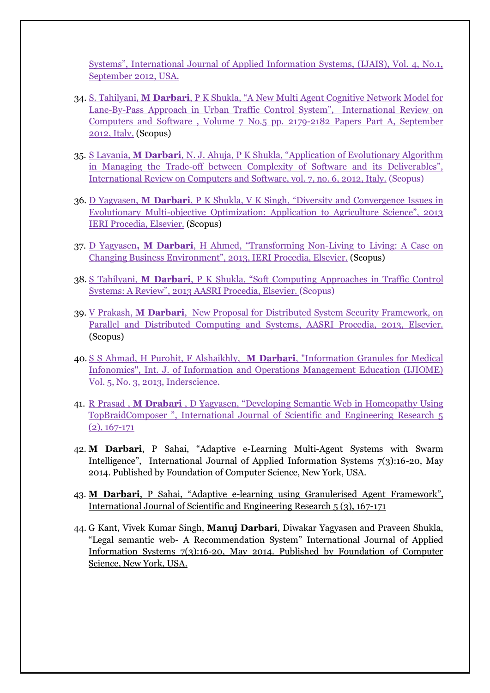Systems", International Journal of Applied Information Systems, (IJAIS), Vol. 4, No.1, September 2012, USA.

- 34. S. Tahilyani, **M Darbari**[, P K Shukla, "A New Multi Agent Cognitive Network Model for](http://www.praiseworthyprize.com/IRECOS-latest/IRECOS_vol_7_n_5.html#Part_A)  Lane-By-[Pass Approach in Urban Traffic Control System", International Review on](http://www.praiseworthyprize.com/IRECOS-latest/IRECOS_vol_7_n_5.html#Part_A)  Computers and Software , Volume 7 [No.5 pp. 2179-2182 Papers Part A, September](http://www.praiseworthyprize.com/IRECOS-latest/IRECOS_vol_7_n_5.html#Part_A)  [2012, Italy.](http://www.praiseworthyprize.com/IRECOS-latest/IRECOS_vol_7_n_5.html#Part_A) (Scopus)
- 35. S Lavania, **M Darbari**[, N. J. Ahuja, P K Shukla, "Application of Evolutionary Algorithm](http://www.praiseworthyprize.com/IRECOS-latest/IRECOS_vol_7_n_6.html)  in Managing the Trade-[off between Complexity of Software and its Deliverables",](http://www.praiseworthyprize.com/IRECOS-latest/IRECOS_vol_7_n_6.html)  [International Review on Computers and Software, vol. 7, no. 6, 2012, Italy.](http://www.praiseworthyprize.com/IRECOS-latest/IRECOS_vol_7_n_6.html) (Scopus)
- 36. D Yagyasen, **M Darbari**, P K Shukla, V K [Singh, "Diversity and Convergence Issues in](http://www.icanre-conf.org/files/ICANRE2013_CONTENT.pdf)  Evolutionary Multi-[objective Optimization: Application to Agriculture Science", 2013](http://www.icanre-conf.org/files/ICANRE2013_CONTENT.pdf)  [IERI Procedia, Elsevier.](http://www.icanre-conf.org/files/ICANRE2013_CONTENT.pdf) (Scopus)
- 37. D Yagyasen**, M Darbari**, [H Ahmed, "Transforming Non](http://www.icanre-conf.org/files/ICANRE2013_CONTENT.pdf)-Living to Living: A Case on [Changing Business Environment", 2013, IERI Procedia, Elsevier.](http://www.icanre-conf.org/files/ICANRE2013_CONTENT.pdf) (Scopus)
- 38. S Tahilyani, **M Darbari**[, P K Shukla, "Soft Computing Approaches in Traffic Contr](http://www.aasri.net/conference.htm)ol [Systems: A Review", 2013 AASRI Procedia, Elsevier.](http://www.aasri.net/conference.htm) (Scopus)
- 39. V Prakash, **M Darbari**[, New Proposal for Distributed System Security Framework, on](http://www.aasri.net/conference.htm)  [Parallel and Distributed Computing and Systems, AASRI Procedia, 2013, Elsevier.](http://www.aasri.net/conference.htm) (Scopus)
- 40. [S S Ahmad, H Purohit, F Alshaikhly,](http://www.inderscience.com/offer.php?id=55978) **M Darbari**, "Information Granules for Medical [Infonomics", Int. J. of Information and Operations Management Education \(IJIOME\)](http://www.inderscience.com/offer.php?id=55978)  [Vol. 5, No. 3, 2013, Inderscience.](http://www.inderscience.com/offer.php?id=55978)
- 41. R Prasad , **M Drabari** , D Yagyasen, "Developing Semantic Web in Homeopathy Using TopBraidComposer ", International Journal of Scientific and Engineering Research 5 (2), 167-171
- 42. **M Darbari**, P Sahai, "Adaptive e-Learning Multi-Agent Systems with Swarm Intelligence", International Journal of Applied Information Systems 7(3):16-20, May 2014. Published by Foundation of Computer Science, New York, USA.
- 43. **M Darbari**, P Sahai, "Adaptive e-learning using Granulerised Agent Framework", International Journal of Scientific and Engineering Research 5 (3), 167-171
- 44. G Kant, Vivek Kumar Singh, **Manuj Darbari**, Diwakar Yagyasen and Praveen Shukla, "Legal semantic web- A Recommendation System" International Journal of Applied Information Systems 7(3):16-20, May 2014. Published by Foundation of Computer Science, New York, USA.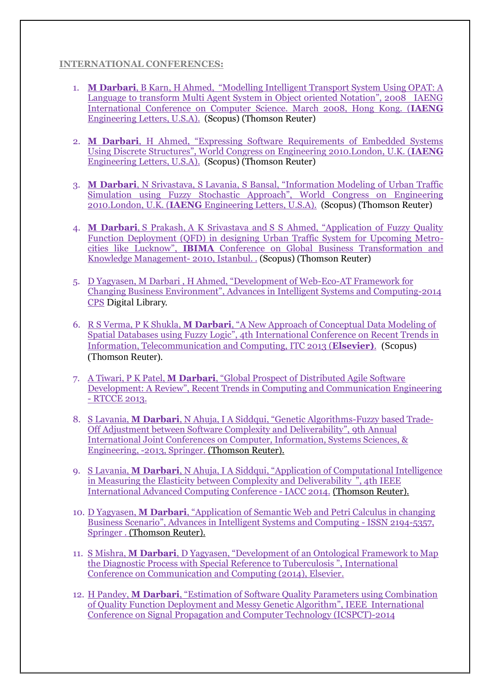#### **INTERNATIONAL CONFERENCES:**

- 1. **M Darbari**[, B Karn, H Ahmed, "Modelling Intelligent](http://www.iaeng.org/publication/IMECS2008/IMECS2008_pp264-267.pdf) Transport System Using OPAT: A [Language to transform Multi Agent System in Object oriented Notation", 2008 IAENG](http://www.iaeng.org/publication/IMECS2008/IMECS2008_pp264-267.pdf)  [International Conference on Computer Science. March 2008, Hong Kong. \(](http://www.iaeng.org/publication/IMECS2008/IMECS2008_pp264-267.pdf)**IAENG** [Engineering Letters, U.S.A\).](http://www.iaeng.org/publication/IMECS2008/IMECS2008_pp264-267.pdf) (Scopus) (Thomson Reuter)
- 2. **M Darbari**[, H Ahmed, "Expressing Software Requirements of Embedded Systems](http://www.iaeng.org/publication/WCE2010/WCE2010_pp218-221.pdf)  [Using Discrete Structures", World Congress on Engineering 2010.London, U.K. \(](http://www.iaeng.org/publication/WCE2010/WCE2010_pp218-221.pdf)**IAENG** [Engineering Letters, U.S.A\).](http://www.iaeng.org/publication/WCE2010/WCE2010_pp218-221.pdf) (Scopus) (Thomson Reuter)
- 3. **M Darbari**[, N Srivastava, S Lavania, S Bansal, "Information Modeling of Urban Traffic](http://www.iaeng.org/publication/WCE2010/WCE2010_pp215-217.pdf)  [Simulation using Fuzzy Stochastic Approach", World Congress on Engine](http://www.iaeng.org/publication/WCE2010/WCE2010_pp215-217.pdf)ering 2010.London, U.K. (**IAENG** [Engineering Letters, U.S.A\).](http://www.iaeng.org/publication/WCE2010/WCE2010_pp215-217.pdf) (Scopus) (Thomson Reuter)
- 4. **M Darbari**, S Prakash, A K Srivastava and [S S Ahmed, "Application of Fuzzy Quality](http://www.ibima.org/TR2010/papers/say.html)  [Function Deployment \(QFD\) in designing Urban Traffic System for Upcoming Metro](http://www.ibima.org/TR2010/papers/say.html)cities like Lucknow", **IBIMA** [Conference on Global Business Transformation and](http://www.ibima.org/TR2010/papers/say.html)  [Knowledge Management-](http://www.ibima.org/TR2010/papers/say.html) 2010, Istanbul. . (Scopus) (Thomson Reuter)
- 5. [D Yagyasen, M Darbari , H Ahmed, "Development of Web](http://www.springer.com/series/11156)-Eco-AT Framework for Changing Business Environment", [Advances in Intelligent Systems and Computing-2014](http://www.springer.com/series/11156)  [CPS](http://www.springer.com/series/11156) Digital Library.
- 6. R S Verma, P K Shukla, **M Darbari**[, "A New Approach of Conceptual Data Modeling of](http://itc.theides.org/2013/proc.html)  [Spatial Databases using Fuzzy Logic", 4th International Conference on Recent Trends in](http://itc.theides.org/2013/proc.html)  [Information, Telecommunication and Computing, ITC 2013 \(](http://itc.theides.org/2013/proc.html)**Elsevier)**. (Scopus) (Thomson Reuter).
- 7. A Tiwari, P K Patel, **M Darbari**[, "Global Prospect of Distributed Agile Software](http://www.seekdl.org/nm.php?id=1336%E2%80%8E)  Development: A Review", Recent [Trends in Computing and Communication Engineering](http://www.seekdl.org/nm.php?id=1336%E2%80%8E)  - [RTCCE 2013.](http://www.seekdl.org/nm.php?id=1336%E2%80%8E)
- 8. S Lavania, **M Darbari**, N Ahuja, I A Siddqui, "Genetic Algorithms-Fuzzy based Trade-Off Adjustment between Software Complexity and Deliverability", 9th Annual International Joint Conferences on Computer, Information, Systems Sciences, & Engineering, -2013, Springer. (Thomson Reuter).
- 9. S Lavania, **M Darbari**, N Ahuja, I A Siddqui, "Application of Computational Intelligence in Measuring the Elasticity between Complexity and Deliverability ", 4th IEEE International Advanced Computing Conference - IACC 2014. (Thomson Reuter).
- 10. D Yagyasen, **M Darbari**, "Application of Semantic Web and Petri Calculus in changing Business Scenario", Advances in Intelligent Systems and Computing - ISSN 2194-5357, Springer . (Thomson Reuter).
- 11. S Mishra, **M Darbari**, D Yagyasen, "Development of an Ontological Framework to Map the Diagnostic Process with Special Reference to Tuberculosis ", International Conference on Communication and Computing (2014), Elsevier.
- 12. H Pandey, **M Darbari**, "Estimation of Software Quality Parameters using Combination of Quality Function Deployment and Messy Genetic Algorithm", IEEE International Conference on Signal Propagation and Computer Technology (ICSPCT)-2014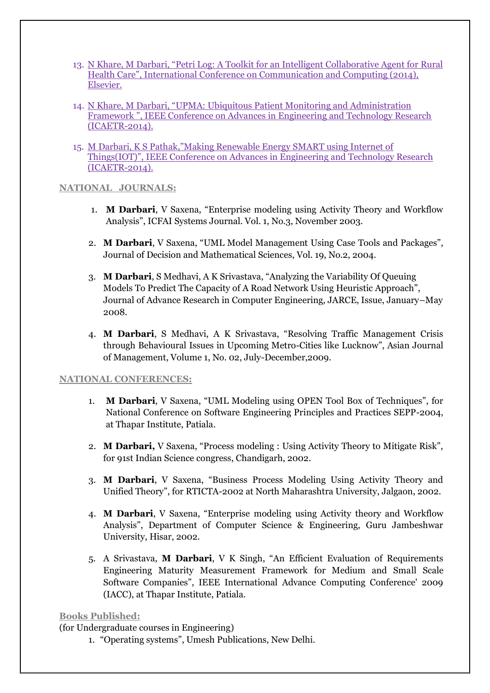- 13. N Khare, M Darbari, "Petri Log: A Toolkit for an Intelligent Collaborative Agent for Rural Health Care", International Conference on Communication and Computing (2014), Elsevier.
- 14. N Khare, M Darbari, "UPMA: Ubiquitous Patient Monitoring and Administration Framework ", IEEE Conference on Advances in Engineering and Technology Research (ICAETR-2014).
- 15. M Darbari, K S Pathak,"Making Renewable Energy SMART using Internet of Things(IOT)", IEEE Conference on Advances in Engineering and Technology Research (ICAETR-2014).

#### **NATIONAL JOURNALS:**

- 1. **M Darbari**, V Saxena, "Enterprise modeling using Activity Theory and Workflow Analysis", ICFAI Systems Journal. Vol. 1, No.3, November 2003.
- 2. **M Darbari**, V Saxena, "UML Model Management Using Case Tools and Packages", Journal of Decision and Mathematical Sciences, Vol. 19, No.2, 2004.
- 3. **M Darbari**, S Medhavi, A K Srivastava, "Analyzing the Variability Of Queuing Models To Predict The Capacity of A Road Network Using Heuristic Approach", Journal of Advance Research in Computer Engineering, JARCE, Issue, January–May 2008.
- 4. **M Darbari**, S Medhavi, A K Srivastava, "Resolving Traffic Management Crisis through Behavioural Issues in Upcoming Metro-Cities like Lucknow", Asian Journal of Management, Volume 1, No. 02, July-December,2009.

#### **NATIONAL CONFERENCES:**

- 1. **M Darbari**, V Saxena, "UML Modeling using OPEN Tool Box of Techniques", for National Conference on Software Engineering Principles and Practices SEPP-2004, at Thapar Institute, Patiala.
- 2. **M Darbari,** V Saxena, "Process modeling : Using Activity Theory to Mitigate Risk", for 91st Indian Science congress, Chandigarh, 2002.
- 3. **M Darbari**, V Saxena, "Business Process Modeling Using Activity Theory and Unified Theory", for RTICTA-2002 at North Maharashtra University, Jalgaon, 2002.
- 4. **M Darbari**, V Saxena, "Enterprise modeling using Activity theory and Workflow Analysis", Department of Computer Science & Engineering, Guru Jambeshwar University, Hisar, 2002.
- 5. A Srivastava, **M Darbari**, V K Singh, "An Efficient Evaluation of Requirements Engineering Maturity Measurement Framework for Medium and Small Scale Software Companies", IEEE International Advance Computing Conference' 2009 [\(IACC\),](http://iacc.co.in/) at Thapar Institute, Patiala.

#### **Books Published:**

(for Undergraduate courses in Engineering)

1. "Operating systems", Umesh Publications, New Delhi.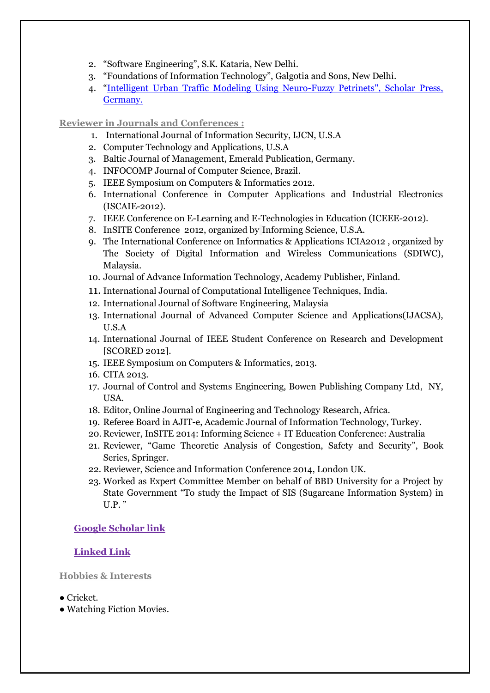- 2. "Software Engineering", S.K. Kataria, New Delhi.
- 3. "Foundations of Information Technology", Galgotia and Sons, New Delhi.
- 4. "[Intelligent Urban Traffic Modeling Using Neuro-Fuzzy Petrinets", Scholar Press,](http://www.amazon.com/s/ref=nb_sb_noss?url=search-alias%3Dstripbooks&field-keywords=Manuj+Darbari&rh=n%3A283155%2Ck%3AManuj+Darbari)  [Germany.](http://www.amazon.com/s/ref=nb_sb_noss?url=search-alias%3Dstripbooks&field-keywords=Manuj+Darbari&rh=n%3A283155%2Ck%3AManuj+Darbari)

#### **Reviewer in Journals and Conferences :**

- 1. International Journal of Information Security, IJCN, U.S.A
- 2. Computer Technology and Applications, U.S.A
- 3. Baltic Journal of Management, Emerald Publication, Germany.
- 4. INFOCOMP Journal of Computer Science, Brazil.
- 5. IEEE Symposium on Computers & Informatics 2012.
- 6. International Conference in Computer Applications and Industrial Electronics (ISCAIE-2012).
- 7. IEEE Conference on E-Learning and E-Technologies in Education (ICEEE-2012).
- 8. InSITE Conference 2012, organized by Informing Science, U.S.A.
- 9. The International Conference on Informatics & Applications ICIA2012 , organized by [The Society of Digital Information and Wireless Communications \(SDIWC\),](http://www.sdiwc.net/) Malaysia.
- 10. Journal of Advance Information Technology, Academy Publisher, Finland.
- 11. International Journal of Computational Intelligence Techniques, India.
- 12. International Journal of Software Engineering, Malaysia
- 13. International Journal of Advanced Computer Science and Applications(IJACSA), U.S.A
- 14. International Journal of IEEE Student Conference on Research and Development [SCORED 2012].
- 15. IEEE Symposium on Computers & Informatics, 2013.
- 16. CITA 2013.
- 17. [Journal of Control and Systems Engineering, Bowen Publishing Company Ltd, NY,](http://www.bowenpublishing.com/jcse/Publisher.aspx)  [USA.](http://www.bowenpublishing.com/jcse/Publisher.aspx)
- 18. Editor, Online Journal of Engineering and Technology Research, Africa.
- 19. Referee Board in AJIT-e, Academic Journal of Information Technology, Turkey.
- 20. Reviewer, InSITE 2014: Informing Science + IT Education Conference: Australia
- 21. Reviewer, "Game Theoretic Analysis of Congestion, Safety and Security", Book Series, Springer.
- 22. Reviewer, Science and Information Conference 2014, London UK.
- 23. Worked as Expert Committee Member on behalf of BBD University for a Project by State Government "To study the Impact of SIS (Sugarcane Information System) in U.P. "

### **[Google Scholar link](http://scholar.google.co.in/citations?user=KwxMj8AAAAAJ&hl=en)**

### **[Linked Link](http://www.linkedin.com/profile/view?id=36183068&authType=NAME_SEARCH&authToken=nrua&locale=en_US&srchid=361830681384316542261&srchindex=1&srchtotal=1&trk=vsrp_people_res_name&trkInfo=VSRPsearchId%3A361830681384316542261%2CVSRPtargetId%3A36183068%2CVSRPcmp)**

#### **Hobbies & Interests**

- Cricket.
- Watching Fiction Movies.